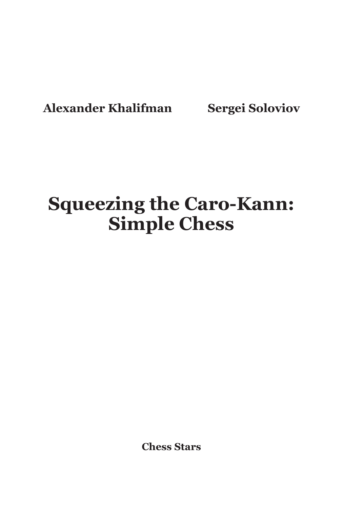**Alexander Khalifman Sergei Soloviov**

# **Squeezing the Caro-Kann: Simple Chess**

**Chess Stars**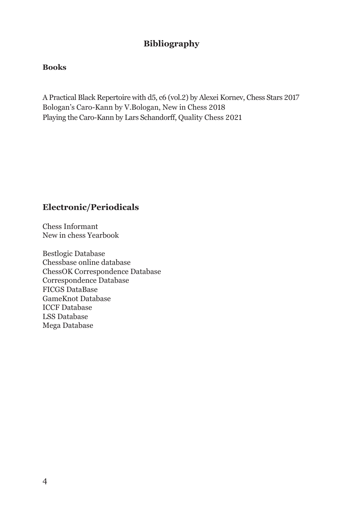#### **Bibliography**

#### **Books**

A Practical Black Repertoire with d5, c6 (vol.2) by Alexei Kornev, Chess Stars 2017 Bologan's Caro-Kann by V.Bologan, New in Chess 2018 Playing the Caro-Kann by Lars Schandorff, Quality Chess 2021

#### **Electronic/Periodicals**

Chess Informant New in chess Yearbook

Bestlogic Database Chessbase online database ChessOK Correspondence Database Correspondence Database FICGS DataBase GameKnot Database ICCF Database LSS Database Mega Database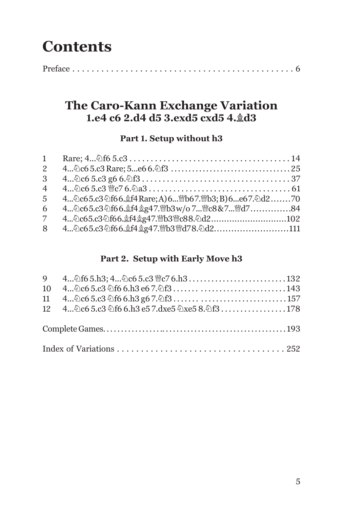## **Contents**

|--|--|

## **The Caro-Kann Exchange Variation 1.e4 c6 2.d4 d5 3.exd5 cxd5 4.Bd3**

## **Part 1. Setup without h3**

| $\mathbf{1}$   |                                                             |  |
|----------------|-------------------------------------------------------------|--|
| $\mathbf{2}$   |                                                             |  |
| 3              |                                                             |  |
| $\overline{4}$ |                                                             |  |
| $\overline{5}$ | 4 2c65.c3 2f66. \$f4 Rare: A) 6 曾b67. 曾b3; B) 6 e67. 2d2 70 |  |
| 6              | 4 2c65.c3 2f66. \$f4 \$g47. Mb3w/o 7 Mrc8&7 Md7 84          |  |
| 7              |                                                             |  |
| 8              | 4 2c65.c3 2f66. 金f4 gg47. 曾b3 曾d78. 2d2111                  |  |

#### **Part 2. Setup with Early Move h3**

| 9 4 2f6 5.h3; 4 2c6 5.c3 曾c7 6.h3 132          |  |
|------------------------------------------------|--|
|                                                |  |
|                                                |  |
| 12 4 2c6 5.c3 2f6 6.h3 e5 7.dxe5 2xe5 8.2f3178 |  |
|                                                |  |
|                                                |  |
|                                                |  |
|                                                |  |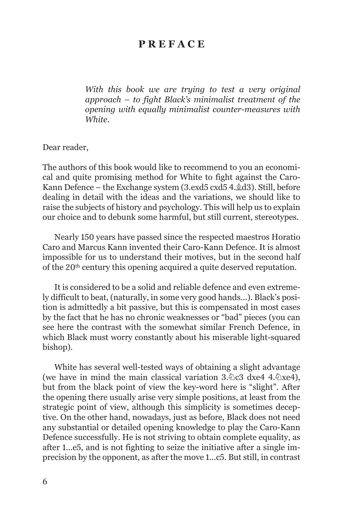## **P R E F A C E**

*With this book we are trying to test a very original approach – to fight Black's minimalist treatment of the opening with equally minimalist counter-measures with White.*

Dear reader,

The authors of this book would like to recommend to you an economical and quite promising method for White to fight against the Caro-Kann Defence – the Exchange system  $(3 \text{.exd}5 \text{ c} \text{xd}5 4 \text{.} \& d3)$ . Still, before dealing in detail with the ideas and the variations, we should like to raise the subjects of history and psychology. This will help us to explain our choice and to debunk some harmful, but still current, stereotypes.

Nearly 150 years have passed since the respected maestros Horatio Caro and Marcus Kann invented their Caro-Kann Defence. It is almost impossible for us to understand their motives, but in the second half of the 20th century this opening acquired a quite deserved reputation.

It is considered to be a solid and reliable defence and even extremely difficult to beat, (naturally, in some very good hands...). Black's position is admittedly a bit passive, but this is compensated in most cases by the fact that he has no chronic weaknesses or "bad" pieces (you can see here the contrast with the somewhat similar French Defence, in which Black must worry constantly about his miserable light-squared bishop).

White has several well-tested ways of obtaining a slight advantage (we have in mind the main classical variation  $3.\&c3$  dxe4 4. $\&x$ e4), but from the black point of view the key-word here is "slight". After the opening there usually arise very simple positions, at least from the strategic point of view, although this simplicity is sometimes deceptive. On the other hand, nowadays, just as before, Black does not need any substantial or detailed opening knowledge to play the Caro-Kann Defence successfully. He is not striving to obtain complete equality, as after 1...е5, and is not fighting to seize the initiative after a single imprecision by the opponent, as after the move 1...с5. But still, in contrast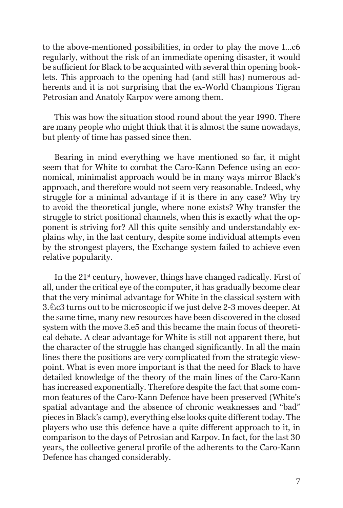to the above-mentioned possibilities, in order to play the move 1...с6 regularly, without the risk of an immediate opening disaster, it would be sufficient for Black to be acquainted with several thin opening booklets. This approach to the opening had (and still has) numerous adherents and it is not surprising that the ex-World Champions Tigran Petrosian and Anatoly Karpov were among them.

This was how the situation stood round about the year 1990. There are many people who might think that it is almost the same nowadays, but plenty of time has passed since then.

Bearing in mind everything we have mentioned so far, it might seem that for White to combat the Caro-Kann Defence using an economical, minimalist approach would be in many ways mirror Black's approach, and therefore would not seem very reasonable. Indeed, why struggle for a minimal advantage if it is there in any case? Why try to avoid the theoretical jungle, where none exists? Why transfer the struggle to strict positional channels, when this is exactly what the opponent is striving for? All this quite sensibly and understandably explains why, in the last century, despite some individual attempts even by the strongest players, the Exchange system failed to achieve even relative popularity.

In the 21st century, however, things have changed radically. First of all, under the critical eye of the computer, it has gradually become clear that the very minimal advantage for White in the classical system with 3.Nc3 turns out to be microscopic if we just delve 2-3 moves deeper. At the same time, many new resources have been discovered in the closed system with the move 3.е5 and this became the main focus of theoretical debate. A clear advantage for White is still not apparent there, but the character of the struggle has changed significantly. In all the main lines there the positions are very complicated from the strategic viewpoint. What is even more important is that the need for Black to have detailed knowledge of the theory of the main lines of the Caro-Kann has increased exponentially. Therefore despite the fact that some common features of the Caro-Kann Defence have been preserved (White's spatial advantage and the absence of chronic weaknesses and "bad" pieces in Black's camp), everything else looks quite different today. The players who use this defence have a quite different approach to it, in comparison to the days of Petrosian and Karpov. In fact, for the last 30 years, the collective general profile of the adherents to the Caro-Kann Defence has changed considerably.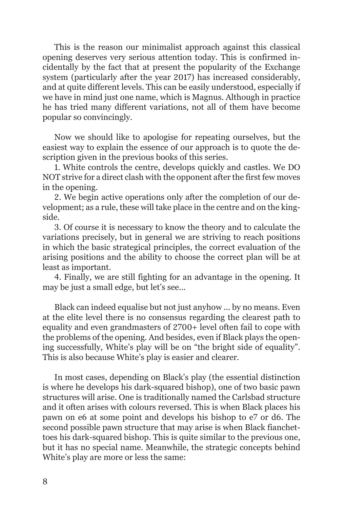This is the reason our minimalist approach against this classical opening deserves very serious attention today. This is confirmed incidentally by the fact that at present the popularity of the Exchange system (particularly after the year 2017) has increased considerably, and at quite different levels. This can be easily understood, especially if we have in mind just one name, which is Magnus. Although in practice he has tried many different variations, not all of them have become popular so convincingly.

Now we should like to apologise for repeating ourselves, but the easiest way to explain the essence of our approach is to quote the description given in the previous books of this series.

1. White controls the centre, develops quickly and castles. We DO NOT strive for a direct clash with the opponent after the first few moves in the opening.

2. We begin active operations only after the completion of our development; as a rule, these will take place in the centre and on the kingside.

3. Of course it is necessary to know the theory and to calculate the variations precisely, but in general we are striving to reach positions in which the basic strategical principles, the correct evaluation of the arising positions and the ability to choose the correct plan will be at least as important.

4. Finally, we are still fighting for an advantage in the opening. It may be just a small edge, but let's see...

Black can indeed equalise but not just anyhow ... by no means. Even at the elite level there is no consensus regarding the clearest path to equality and even grandmasters of 2700+ level often fail to cope with the problems of the opening. And besides, even if Black plays the opening successfully, White's play will be on "the bright side of equality". This is also because White's play is easier and clearer.

In most cases, depending on Black's play (the essential distinction is where he develops his dark-squared bishop), one of two basic pawn structures will arise. One is traditionally named the Carlsbad structure and it often arises with colours reversed. This is when Black places his pawn on e6 at some point and develops his bishop to e7 or d6. The second possible pawn structure that may arise is when Black fianchettoes his dark-squared bishop. This is quite similar to the previous one, but it has no special name. Meanwhile, the strategic concepts behind White's play are more or less the same: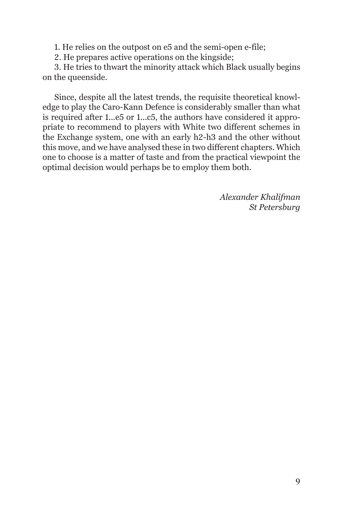1. He relies on the outpost on e5 and the semi-open e-file;

2. He prepares active operations on the kingside;

3. He tries to thwart the minority attack which Black usually begins on the queenside.

Since, despite all the latest trends, the requisite theoretical knowledge to play the Caro-Kann Defence is considerably smaller than what is required after 1...е5 or 1...с5, the authors have considered it appropriate to recommend to players with White two different schemes in the Exchange system, one with an early h2-h3 and the other without this move, and we have analysed these in two different chapters. Which one to choose is a matter of taste and from the practical viewpoint the optimal decision would perhaps be to employ them both.

> *Alexander Khalifman St Petersburg*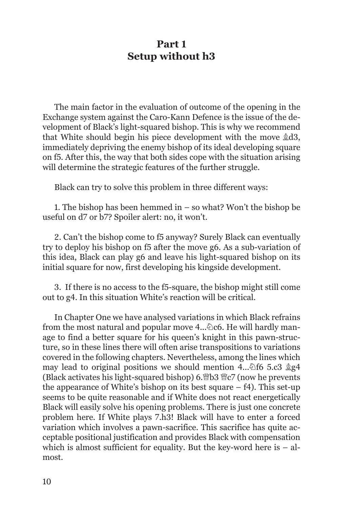## **Part 1 Setup without h3**

The main factor in the evaluation of outcome of the opening in the Exchange system against the Caro-Kann Defence is the issue of the development of Black's light-squared bishop. This is why we recommend that White should begin his piece development with the move  $\&d3$ , immediately depriving the enemy bishop of its ideal developing square on f5. After this, the way that both sides cope with the situation arising will determine the strategic features of the further struggle.

Black can try to solve this problem in three different ways:

1. The bishop has been hemmed in – so what? Won't the bishop be useful on d7 or b7? Spoiler alert: no, it won't.

2. Can't the bishop come to f5 anyway? Surely Black can eventually try to deploy his bishop on f5 after the move g6. As a sub-variation of this idea, Black can play g6 and leave his light-squared bishop on its initial square for now, first developing his kingside development.

3. If there is no access to the f5-square, the bishop might still come out to g4. In this situation White's reaction will be critical.

In Chapter One we have analysed variations in which Black refrains from the most natural and popular move  $4...\&06$ . He will hardly manage to find a better square for his queen's knight in this pawn-structure, so in these lines there will often arise transpositions to variations covered in the following chapters. Nevertheless, among the lines which may lead to original positions we should mention 4... $\delta$ f6 5.c3  $\dot{\mathbb{Z}}$ g4 (Black activates his light-squared bishop) 6.  $B$ 8  $C$ 7 (now he prevents the appearance of White's bishop on its best square  $- f4$ ). This set-up seems to be quite reasonable and if White does not react energetically Black will easily solve his opening problems. There is just one concrete problem here. If White plays 7.h3! Black will have to enter a forced variation which involves a pawn-sacrifice. This sacrifice has quite acceptable positional justification and provides Black with compensation which is almost sufficient for equality. But the key-word here is  $-$  almost.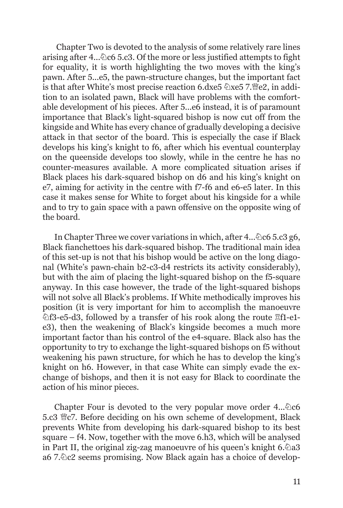Chapter Two is devoted to the analysis of some relatively rare lines arising after  $4...\&065.c3$ . Of the more or less justified attempts to fight for equality, it is worth highlighting the two moves with the king's pawn. After 5...e5, the pawn-structure changes, but the important fact is that after White's most precise reaction 6.dxe5  $\&$ xe5 7. $\&$ e2, in addition to an isolated pawn, Black will have problems with the comfortable development of his pieces. After 5...e6 instead, it is of paramount importance that Black's light-squared bishop is now cut off from the kingside and White has every chance of gradually developing a decisive attack in that sector of the board. This is especially the case if Black develops his king's knight to f6, after which his eventual counterplay on the queenside develops too slowly, while in the centre he has no counter-measures available. A more complicated situation arises if Black places his dark-squared bishop on d6 and his king's knight on e7, aiming for activity in the centre with f7-f6 and e6-e5 later. In this case it makes sense for White to forget about his kingside for a while and to try to gain space with a pawn offensive on the opposite wing of the board.

In Chapter Three we cover variations in which, after  $4...\&065.c3$  g6, Black fianchettoes his dark-squared bishop. The traditional main idea of this set-up is not that his bishop would be active on the long diagonal (White's pawn-chain b2-c3-d4 restricts its activity considerably), but with the aim of placing the light-squared bishop on the f5-square anyway. In this case however, the trade of the light-squared bishops will not solve all Black's problems. If White methodically improves his position (it is very important for him to accomplish the manoeuvre  $\mathbb{R}$  13-e5-d3, followed by a transfer of his rook along the route  $\mathbb{E}$ f1-e1e3), then the weakening of Black's kingside becomes a much more important factor than his control of the e4-square. Black also has the opportunity to try to exchange the light-squared bishops on f5 without weakening his pawn structure, for which he has to develop the king's knight on h6. However, in that case White can simply evade the exchange of bishops, and then it is not easy for Black to coordinate the action of his minor pieces.

Chapter Four is devoted to the very popular move order  $4...\&66$  $5. c3 \n\overset{\text{w}}{\llcorner} c$ . Before deciding on his own scheme of development, Black prevents White from developing his dark-squared bishop to its best square –  $f4$ . Now, together with the move 6.h<sub>3</sub>, which will be analysed in Part II, the original zig-zag manoeuvre of his queen's knight  $6.\&$  a3 a6 7. $\&$ c2 seems promising. Now Black again has a choice of develop-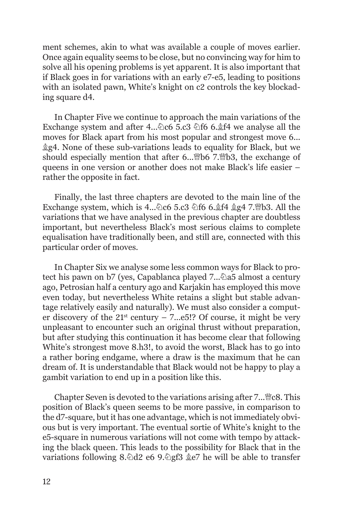ment schemes, akin to what was available a couple of moves earlier. Once again equality seems to be close, but no convincing way for him to solve all his opening problems is yet apparent. It is also important that if Black goes in for variations with an early e7-e5, leading to positions with an isolated pawn, White's knight on c2 controls the key blockading square d4.

In Chapter Five we continue to approach the main variations of the Exchange system and after 4... $\&$ c6 5.c3  $\&$ f6 6. $\&$ f4 we analyse all the moves for Black apart from his most popular and strongest move 6...  $\S$ g4. None of these sub-variations leads to equality for Black, but we should especially mention that after 6... $\mathcal{W}$ b6 7. $\mathcal{W}$ b3, the exchange of queens in one version or another does not make Black's life easier – rather the opposite in fact.

Finally, the last three chapters are devoted to the main line of the Exchange system, which is  $\overline{4...}$   $\&$  c6 5.c3  $\&$  f6 6. $\&$  f4  $\&$  g4 7. Wb3. All the variations that we have analysed in the previous chapter are doubtless important, but nevertheless Black's most serious claims to complete equalisation have traditionally been, and still are, connected with this particular order of moves.

In Chapter Six we analyse some less common ways for Black to protect his pawn on b7 (yes, Capablanca played 7... $\triangle$ a5 almost a century ago, Petrosian half a century ago and Karjakin has employed this move even today, but nevertheless White retains a slight but stable advantage relatively easily and naturally). We must also consider a computer discovery of the  $21<sup>st</sup>$  century – 7...e5!? Of course, it might be very unpleasant to encounter such an original thrust without preparation, but after studying this continuation it has become clear that following White's strongest move 8.h3!, to avoid the worst, Black has to go into a rather boring endgame, where a draw is the maximum that he can dream of. It is understandable that Black would not be happy to play a gambit variation to end up in a position like this.

Chapter Seven is devoted to the variations arising after  $7...\mathcal{C}8$ . This position of Black's queen seems to be more passive, in comparison to the d7-square, but it has one advantage, which is not immediately obvious but is very important. The eventual sortie of White's knight to the e5-square in numerous variations will not come with tempo by attacking the black queen. This leads to the possibility for Black that in the variations following 8. $\triangle$ d2 e6 9. $\triangle$ gf3  $\triangle$ e7 he will be able to transfer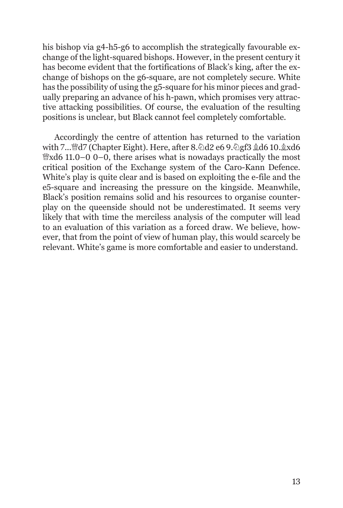his bishop via g4-h5-g6 to accomplish the strategically favourable exchange of the light-squared bishops. However, in the present century it has become evident that the fortifications of Black's king, after the exchange of bishops on the g6-square, are not completely secure. White has the possibility of using the g5-square for his minor pieces and gradually preparing an advance of his h-pawn, which promises very attractive attacking possibilities. Of course, the evaluation of the resulting positions is unclear, but Black cannot feel completely comfortable.

Accordingly the centre of attention has returned to the variation with 7... a7 (Chapter Eight). Here, after 8. and 2 e6 9. agf3 gd6 10. gxd6  $\mathcal{W}$ xd6 11.0–0 0–0, there arises what is nowadays practically the most critical position of the Exchange system of the Caro-Kann Defence. White's play is quite clear and is based on exploiting the e-file and the e5-square and increasing the pressure on the kingside. Meanwhile, Black's position remains solid and his resources to organise counterplay on the queenside should not be underestimated. It seems very likely that with time the merciless analysis of the computer will lead to an evaluation of this variation as a forced draw. We believe, however, that from the point of view of human play, this would scarcely be relevant. White's game is more comfortable and easier to understand.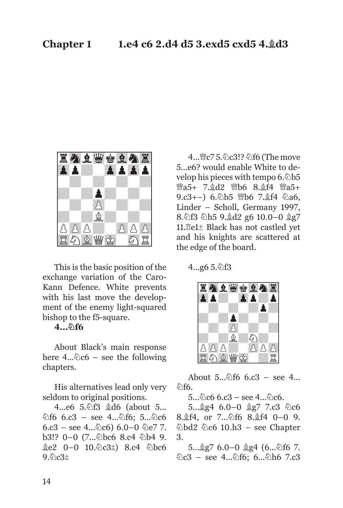

This is the basic position of the exchange variation of the Caro-Kann Defence. White prevents with his last move the development of the enemy light-squared bishop to the f5-square.

#### **4...Nf6**

About Black's main response here  $4...\&06$  – see the following chapters.

His alternatives lead only very seldom to original positions.

4...e6 5. 2f3  $&$ d6 (about 5...  $\text{\&}$ f6 6.c3 – see 4... $\text{\&}$ f6; 5... $\text{\&}$ c6  $6. c3 -$  see 4... $\&0c6$ )  $6.0-0$   $\&0e7$  7. b3!? 0-0 (7... abc6 8.c4 ab4 9.  $\&e2$  0–0 10.  $\&e3\pm$ ) 8.c4  $\&e6$  $9.6c3\pm$ 

4... @c7 5. 2c3!? 2f6 (The move 5...e6? would enable White to develop his pieces with tempo  $6.\&b5$  $\mathcal{W}a5+ 7.\&d2 \quad \mathcal{W}b6 8.\&f4 \quad \mathcal{W}a5+$ 9.c3+-) 6. b5 曾b6 7. gf4 @a6, Linder – Scholl, Germany 1997, 8. $\delta$ 13  $\delta$ h5 9. $\delta$ d2 g6 10.0-0  $\delta$ g7 11.Re1± Black has not castled yet and his knights are scattered at the edge of the board.

 $4...g65.$ 



About  $5...\hat{6}$  f6 6.c3 – see  $4...$ <u>කිf6</u>.

 $5...\%c6$  6.c3 – see  $4...\%c6$ .

 $5...$  $2g4$  6.0-0  $2g7$  7.c3  $0c6$ 8. f4, or 7... hf6 8. f4 0-0 9.  $\triangle$ bd2  $\triangle$ c6 10.h3 – see Chapter 3.

 $5...$  $2g7$  6.0-0  $2g4$  (6... $\&16$  7.  $\&c3 - \text{see } 4...\&16; 6...\&16$  7.c3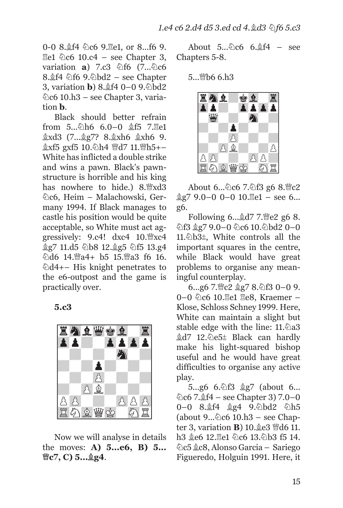0-0 8. f<sup>4</sup>  $\&c6$  9. **Ee1**, or 8... f6 9.  $\mathbb{E}e1 \quad \mathbb{E}e6 \quad 10.c4 - \text{see Chapter 3},$ variation **a**) 7.c3  $\&$  f6 (7... $\&$ c6 8. f4 \dif6 9. \dod2 – see Chapter **3**, variation **b**) 8. $\&$ f4 0−0 9.⊘bd2  $\&$ c6 10.h3 – see Chapter 3, variation **b**.

Black should better refrain from  $5...\&0h6$  6.0-0  $$f5$  7. Ee1 *gxd3* (7... g7? 8. gxh6 gxh6 9. 盒xf5 gxf5 10. h4 曾d7 11. 曾h5+-White has inflicted a double strike and wins a pawn. Black's pawnstructure is horrible and his king has nowhere to hide.) 8. xd3  $\&$ c6, Heim – Malachowski, Germany 1994. If Black manages to castle his position would be quite acceptable, so White must act aggressively:  $9.c4!$  dxc4  $10.\%$ xc4 **gg7 11.d5 公b8 12.gg5 公f5 13.g4** 公d6 14. 当a4+ b5 15. 当a3 f6 16.  $\&$ d4+– His knight penetrates to the e6-outpost and the game is practically over.

**5.c3** 



Now we will analyse in details the moves: **A) 5...e6, B) 5... Qc7, C) 5...Bg4**.

About  $5...\&0.66$  6. $\frac{6}{4}$ f4 – see Chapters 5-8.

5... 幽b6 6.h3



About  $6...\&c6$  7. $\&f3$  g6  $8.\&c2$  $\&g7\,9.0-0\,0-0\,10.\n\equiv 1 - \text{see } 6...$ g6.

Following  $6 \dots \& d7$  7. e2 g6 8. ඩි13 ĝg7 9.0–0 ඩිc6 10.ඩිbd2 0–0 11. $\&$ b3 $\pm$ , White controls all the important squares in the centre, while Black would have great problems to organise any meaningful counterplay.

6...g6 7. gc2 gg7 8. hf3 0-0 9. 0-0 ©c6 10. Ee1 Ee8, Kraemer -Klose, Schloss Schney 1999. Here, White can maintain a slight but stable edge with the line: 11.2a3  $&d7$  12. De5± Black can hardly make his light-squared bishop useful and he would have great difficulties to organise any active play.

5...g6 6. t3 \$g7 (about 6...  $\&c6$  7. $\&f4 - \text{see Chapter 3}$  7.0–0 0-0 8. $\frac{1}{2}$ f4  $\frac{1}{2}$ g4 9. bd2  $\frac{1}{2}$ h5 (about  $9...\&c6 10.h3 - \text{see Chap-}$ ter 3, variation **B**) 10. **@e3** @d6 11. h3 ge6 12. Re1 9c6 13. 9b3 f5 14. Nc5 Bc8, Alonso Garcia – Sariego Figueredo, Holguin 1991. Here, it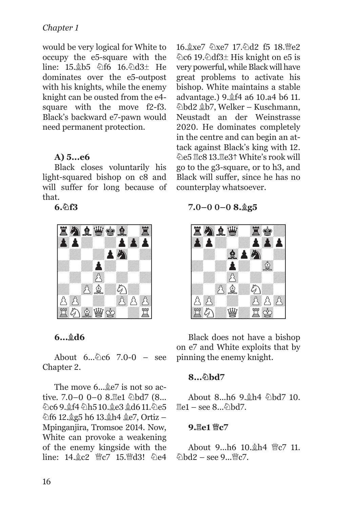## *Chapter 1*

would be very logical for White to occupy the e5-square with the line: 15.2b5 2f6 16.2d3± He dominates over the e5-outpost with his knights, while the enemy knight can be ousted from the e4 square with the move f2-f3. Black's backward e7-pawn would need permanent protection.

#### **A) 5...e6**

Black closes voluntarily his light-squared bishop on c8 and will suffer for long because of that.

**6.Nf3** 



**6...Bd6**

About  $6...\&0c6$  7.0-0 – see Chapter 2.

The move  $6 \ldots \& 82$  is not so active.  $7.0-0$   $0-0$   $8.$   $\frac{8}{10}$   $\frac{1}{2}$   $\frac{1}{2}$   $\frac{1}{2}$   $\frac{1}{2}$   $\frac{1}{2}$   $\frac{1}{2}$   $\frac{1}{2}$   $\frac{1}{2}$   $\frac{1}{2}$   $\frac{1}{2}$   $\frac{1}{2}$   $\frac{1}{2}$   $\frac{1}{2}$   $\frac{1}{2}$   $\frac{1}{2}$   $\frac{1}{2}$   $\frac{1}{2}$   $\frac{1}{2}$   $\frac{1$ වි.c6 9. £f4 වි.h5 10. £e3 £d6 11. වි.e5 hf6 12. g5 h6 13. gh4 ge7, Ortiz -Mpinganjira, Tromsoe 2014. Now, White can provoke a weakening of the enemy kingside with the  $line: 14 \& c2 \& c7 \quad 15 \& d3! \& e4$  16. xe7 2xe7 17. 2d2 f5 18. Me2 ©c6 19.©df3± His knight on e5 is very powerful, while Black will have great problems to activate his bishop. White maintains a stable advantage.) 9. f4 a6 10. a4 b6 11. Nbd2 Bb7, Welker – Kuschmann, Neustadt an der Weinstrasse 2020. He dominates completely in the centre and can begin an attack against Black's king with 12. Ne5 Rc8 13.Re3ƒ White's rook will go to the g3-square, or to h3, and Black will suffer, since he has no counterplay whatsoever.

**7.0–0 0–0 8.Bg5** 



Black does not have a bishop on e7 and White exploits that by pinning the enemy knight.

#### 8... 2hd7

About 8...h6 9. h4 hbd7 10.  $\mathbb{E}e1 - \text{see } 8$ .  $\Diamond \text{hd}7$ .

#### **9. ge1 曾c7**

About  $9...h6$  10. $h4$   $Wc7$  11.  $\delta$ \bd2 – see 9...\cvg\c7.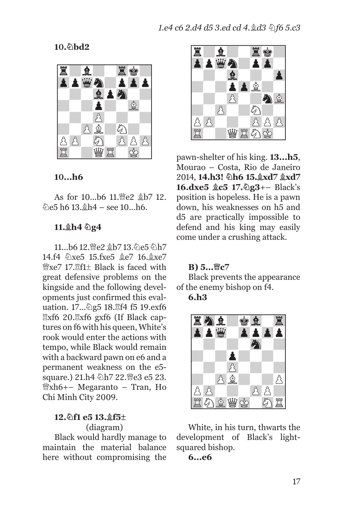10. hd<sub>2</sub>



#### **10...h6**

As for 10...b6 11. ie2  $$b7 12$ .  $\&e5$  h6 13. $\&h4$  – see 10...h6.

#### **11.Bh4 Ng4**

11...b6 12. @e2 gb7 13. @e5 hh7 14.f4 %xe5 15.fxe5 \$e7 16.\$xe7  $\mathcal{W}$ xe7 17. $\mathbb{E}$ f1 $\pm$  Black is faced with great defensive problems on the kingside and the following developments just confirmed this evaluation. 17... 2g5 18. H f5 19. exf6  $\mathbb{R}$ xf6 20. $\mathbb{R}$ xf6 gxf6 (If Black captures on f6 with his queen, White's rook would enter the actions with tempo, while Black would remain with a backward pawn on e6 and a permanent weakness on the e5 square.) 21.h4 公h7 22. ie3 e5 23.  $\mathbb{W}$ xh6+– Megaranto – Tran, Ho Chi Minh City 2009.

#### **12.Nf1 e5 13.Bf5±**  (diagram)

Black would hardly manage to maintain the material balance here without compromising the



pawn-shelter of his king. **13...h5**, Mourao – Costa, Rio de Janeiro 2014, **14.h3!** 2h6 15. xd7  $\&$ xd7 **16.dxe5**  $\&c5$  **17.** $\&c3$ **+– Black's** position is hopeless. He is a pawn down, his weaknesses on h5 and d5 are practically impossible to defend and his king may easily come under a crushing attack.

#### **B**) 5...曾c7

Black prevents the appearance of the enemy bishop on f4.

#### **6.h3**



White, in his turn, thwarts the development of Black's lightsquared bishop.

#### **6...e6**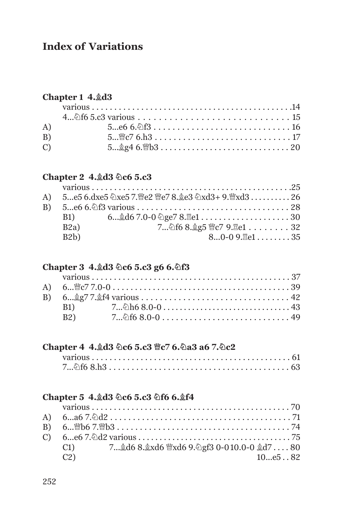## **Index of Variations**

## **Chapter 1 4.Bd3**

| A)             |                                          |
|----------------|------------------------------------------|
| B)             |                                          |
| $\overline{C}$ | $5\&g4\;6.\&b3\; \; \; \; \; \; \; \;20$ |

## **Chapter 2 4. ad3 2c6 5.c3**

|             | A) 5e5 6.dxe5 ②xe5 7.曾e2 曾e7 8.奠e3 ②xd3+ 9.曾xd3 26 |
|-------------|----------------------------------------------------|
|             |                                                    |
| <b>B1</b> ) | $6\&d67.0-0$ $\&qe78.\&e1\dots\dots\dots 30$       |
| B2a)        | 7 2f6 8. g5 曾c7 9. 骂e1 32                          |
| B2b)        | $80-09$ . $7e1$ 35                                 |
|             |                                                    |

#### Chapter 3 4. http://ed. 5.c3 g6 6. html

|             | B1) $7\&0.68.0-0$ $\dots$ $\dots$ $\dots$ $\dots$ $\dots$ $\dots$ $43$ |  |
|-------------|------------------------------------------------------------------------|--|
| <b>B2</b> ) |                                                                        |  |

## Chapter 4 4. d3 0c6 5. c3 ec7 6. 0a3 a6 7. 0c2

## **Chapter 5 4.Bd3 Nc6 5.c3 Nf6 6.Bf4**

|    | B) $6\&067.\&03\ldots\dots\dots\dots\dots\dots\dots\dots\dots\dots\dots 74$ |  |
|----|-----------------------------------------------------------------------------|--|
|    |                                                                             |  |
|    | C1) 7gd6 8.gxd6 曾xd6 9. gf3 0-010.0-0 gd780                                 |  |
| C2 | 10e582                                                                      |  |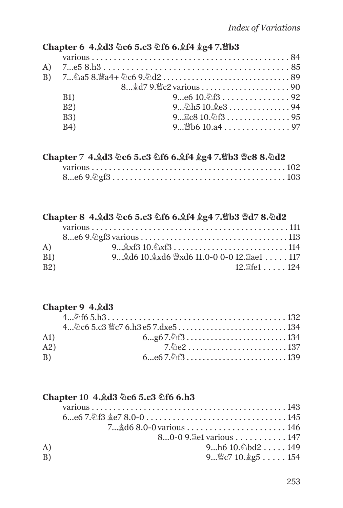#### Chapter 6 4. ad3 **Dc6 5.c3 Df6 6. af4 ag4 7. mb3**

| <b>B1</b> ) |                           |  |
|-------------|---------------------------|--|
| <b>B2</b> ) | $9\&0.010.\&0.3$          |  |
| <b>B3</b> ) | $9$ $810.$ $13$ $13$ $15$ |  |
| <b>B4</b> ) | $9$ Mb6 10.a4 97          |  |
|             |                           |  |

#### Chapter 7 4. d3 2c6 5.c3 2f6 6. t4 gg4 7. hb3 曾c8 8. 2d2

#### Chapter 8 4. d3 2c6 5.c3 2f6 6. t4 gg4 7. mb3 md7 8. 2d2

| A)          |                                            |  |
|-------------|--------------------------------------------|--|
| <b>B1</b> ) | 9 d6 10. xd6 \'xd6 11.0-0 0-0 12. Zae1 117 |  |
| B2)         | 12.耳fe1 124                                |  |

## **Chapter 9 4. ad3**

#### **Chapter 10 4. ad3 2c6 5.c3 2f6 6.h3**

|    | 80-0 9. Hel various 147                   |
|----|-------------------------------------------|
| A) | 9 $h6 10.$ hd $2 \ldots$ 149              |
| B) | 9 $\mathcal{C}$ 7 10. $\mathcal{L}$ g5154 |